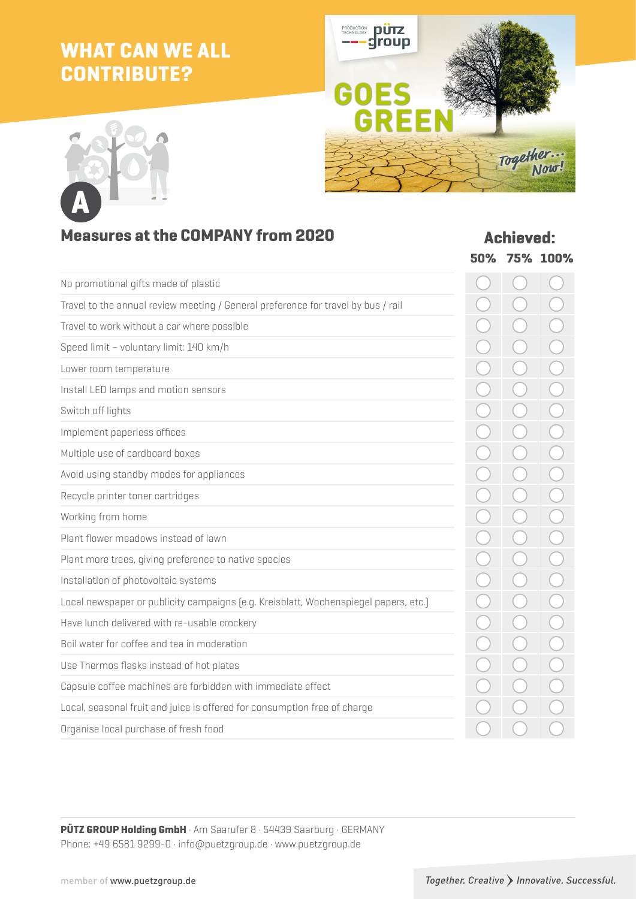## **WHAT CAN WE ALL CONTRIBUTE?**





### **Measures at the COMPANY from 2020 <b>Achieved:**

|                                                                                      | 50% | 75% 100% |
|--------------------------------------------------------------------------------------|-----|----------|
| No promotional gifts made of plastic                                                 |     |          |
| Travel to the annual review meeting / General preference for travel by bus / rail    |     |          |
| Travel to work without a car where possible                                          |     |          |
| Speed limit - voluntary limit: 140 km/h                                              |     |          |
| Lower room temperature                                                               |     |          |
| Install LED lamps and motion sensors                                                 |     |          |
| Switch off lights                                                                    |     |          |
| Implement paperless offices                                                          |     |          |
| Multiple use of cardboard boxes                                                      |     |          |
| Avoid using standby modes for appliances                                             |     |          |
| Recycle printer toner cartridges                                                     |     |          |
| Working from home                                                                    |     |          |
| Plant flower meadows instead of lawn                                                 |     |          |
| Plant more trees, giving preference to native species                                |     |          |
| Installation of photovoltaic systems                                                 |     |          |
| Local newspaper or publicity campaigns (e.g. Kreisblatt, Wochenspiegel papers, etc.) |     |          |
| Have lunch delivered with re-usable crockery                                         |     |          |
| Boil water for coffee and tea in moderation                                          |     |          |
| Use Thermos flasks instead of hot plates                                             |     |          |
| Capsule coffee machines are forbidden with immediate effect                          |     |          |
| Local, seasonal fruit and juice is offered for consumption free of charge            |     |          |
| Organise local purchase of fresh food                                                |     |          |
|                                                                                      |     |          |

**PÜTZ GROUP Holding GmbH** · Am Saarufer 8 · 54439 Saarburg · GERMANY Phone: +49 6581 9299-0 · info@puetzgroup.de · www.puetzgroup.de